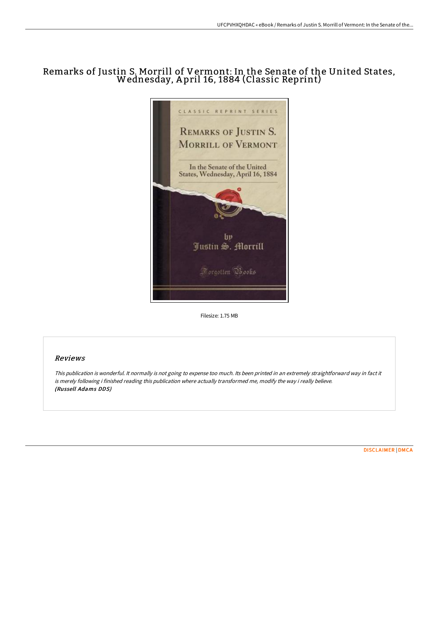# Remarks of Justin S. Morrill of Vermont: In the Senate of the United States, Wednesday, <sup>A</sup> pril 16, <sup>1884</sup> (Classic Reprint)



Filesize: 1.75 MB

# Reviews

This publication is wonderful. It normally is not going to expense too much. Its been printed in an extremely straightforward way in fact it is merely following i finished reading this publication where actually transformed me, modify the way i really believe. (Russell Adams DDS)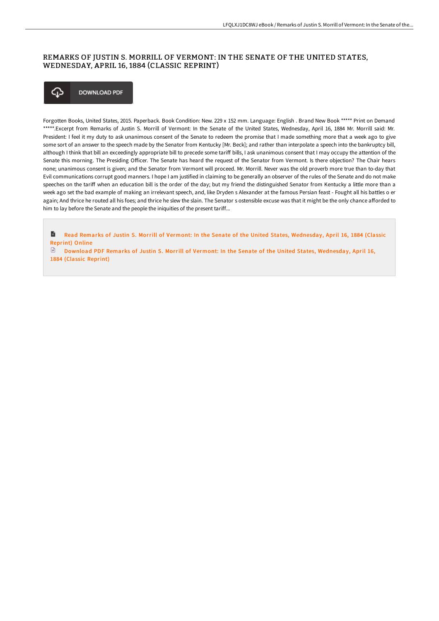# REMARKS OF JUSTIN S. MORRILL OF VERMONT: IN THE SENATE OF THE UNITED STATES, WEDNESDAY, APRIL 16, 1884 (CLASSIC REPRINT)



Forgotten Books, United States, 2015. Paperback. Book Condition: New. 229 x 152 mm. Language: English . Brand New Book \*\*\*\*\* Print on Demand \*\*\*\*\*.Excerpt from Remarks of Justin S. Morrill of Vermont: In the Senate of the United States, Wednesday, April 16, 1884 Mr. Morrill said: Mr. President: I feel it my duty to ask unanimous consent of the Senate to redeem the promise that I made something more that a week ago to give some sort of an answer to the speech made by the Senator from Kentucky [Mr. Beck]; and rather than interpolate a speech into the bankruptcy bill, although I think that bill an exceedingly appropriate bill to precede some tariff bills, I ask unanimous consent that I may occupy the attention of the Senate this morning. The Presiding Officer. The Senate has heard the request of the Senator from Vermont. Is there objection? The Chair hears none; unanimous consent is given; and the Senator from Vermont will proceed. Mr. Morrill. Never was the old proverb more true than to-day that Evil communications corrupt good manners. I hope I am justified in claiming to be generally an observer of the rules of the Senate and do not make speeches on the tariff when an education bill is the order of the day; but my friend the distinguished Senator from Kentucky a little more than a week ago set the bad example of making an irrelevant speech, and, like Dryden s Alexander at the famous Persian feast - Fought all his battles o er again; And thrice he routed all his foes; and thrice he slew the slain. The Senator s ostensible excuse was that it might be the only chance afforded to him to lay before the Senate and the people the iniquities of the present tariff...

h Read Remarks of Justin S. Morrill of Vermont: In the Senate of the United States, [Wednesday,](http://techno-pub.tech/remarks-of-justin-s-morrill-of-vermont-in-the-se.html) April 16, 1884 (Classic Reprint) Online

Download PDF Remarks of Justin S. Morrill of Vermont: In the Senate of the United States, [Wednesday,](http://techno-pub.tech/remarks-of-justin-s-morrill-of-vermont-in-the-se.html) April 16, 1884 (Classic Reprint)